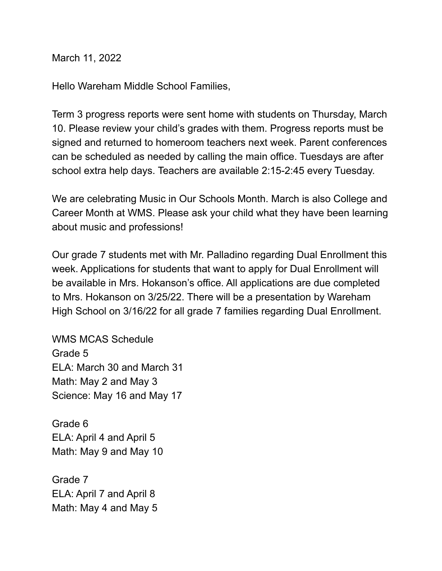March 11, 2022

Hello Wareham Middle School Families,

Term 3 progress reports were sent home with students on Thursday, March 10. Please review your child's grades with them. Progress reports must be signed and returned to homeroom teachers next week. Parent conferences can be scheduled as needed by calling the main office. Tuesdays are after school extra help days. Teachers are available 2:15-2:45 every Tuesday.

We are celebrating Music in Our Schools Month. March is also College and Career Month at WMS. Please ask your child what they have been learning about music and professions!

Our grade 7 students met with Mr. Palladino regarding Dual Enrollment this week. Applications for students that want to apply for Dual Enrollment will be available in Mrs. Hokanson's office. All applications are due completed to Mrs. Hokanson on 3/25/22. There will be a presentation by Wareham High School on 3/16/22 for all grade 7 families regarding Dual Enrollment.

WMS MCAS Schedule Grade 5 ELA: March 30 and March 31 Math: May 2 and May 3 Science: May 16 and May 17

Grade 6 ELA: April 4 and April 5 Math: May 9 and May 10

Grade 7 ELA: April 7 and April 8 Math: May 4 and May 5